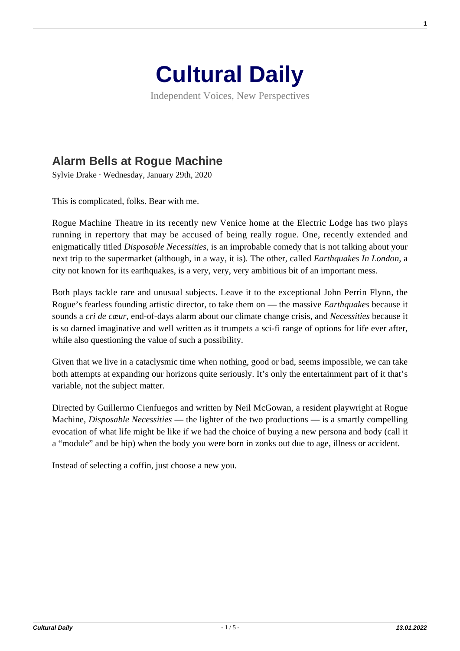

Independent Voices, New Perspectives

## **[Alarm Bells at Rogue Machine](https://culturaldaily.com/alarm-bells-rogue-machine/)**

Sylvie Drake · Wednesday, January 29th, 2020

This is complicated, folks. Bear with me.

Rogue Machine Theatre in its recently new Venice home at the Electric Lodge has two plays running in repertory that may be accused of being really rogue. One, recently extended and enigmatically titled *Disposable Necessities,* is an improbable comedy that is not talking about your next trip to the supermarket (although, in a way, it is). The other, called *Earthquakes In London*, a city not known for its earthquakes, is a very, very, very ambitious bit of an important mess.

Both plays tackle rare and unusual subjects. Leave it to the exceptional John Perrin Flynn, the Rogue's fearless founding artistic director, to take them on — the massive *Earthquakes* because it sounds a *cri de cœur,* end-of-days alarm about our climate change crisis, and *Necessities* because it is so darned imaginative and well written as it trumpets a sci-fi range of options for life ever after, while also questioning the value of such a possibility.

Given that we live in a cataclysmic time when nothing, good or bad, seems impossible, we can take both attempts at expanding our horizons quite seriously. It's only the entertainment part of it that's variable, not the subject matter.

Directed by Guillermo Cienfuegos and written by Neil McGowan, a resident playwright at Rogue Machine, *Disposable Necessities* — the lighter of the two productions — is a smartly compelling evocation of what life might be like if we had the choice of buying a new persona and body (call it a "module" and be hip) when the body you were born in zonks out due to age, illness or accident.

Instead of selecting a coffin, just choose a new you.

**1**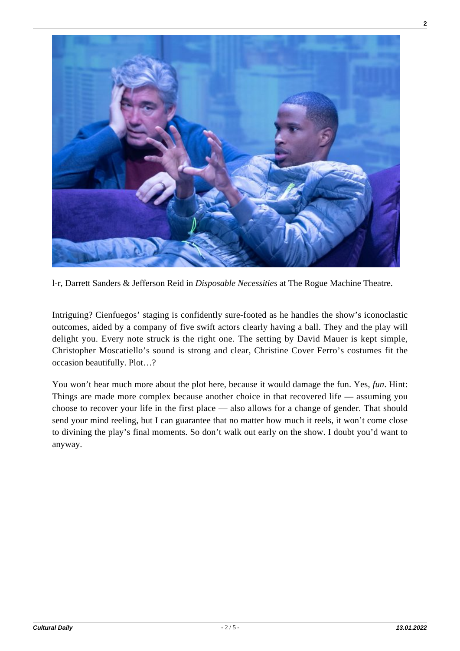

l-r, Darrett Sanders & Jefferson Reid in *Disposable Necessities* at The Rogue Machine Theatre.

Intriguing? Cienfuegos' staging is confidently sure-footed as he handles the show's iconoclastic outcomes, aided by a company of five swift actors clearly having a ball. They and the play will delight you. Every note struck is the right one. The setting by David Mauer is kept simple, Christopher Moscatiello's sound is strong and clear, Christine Cover Ferro's costumes fit the occasion beautifully. Plot…?

You won't hear much more about the plot here, because it would damage the fun. Yes, *fun*. Hint: Things are made more complex because another choice in that recovered life — assuming you choose to recover your life in the first place — also allows for a change of gender. That should send your mind reeling, but I can guarantee that no matter how much it reels, it won't come close to divining the play's final moments. So don't walk out early on the show. I doubt you'd want to anyway.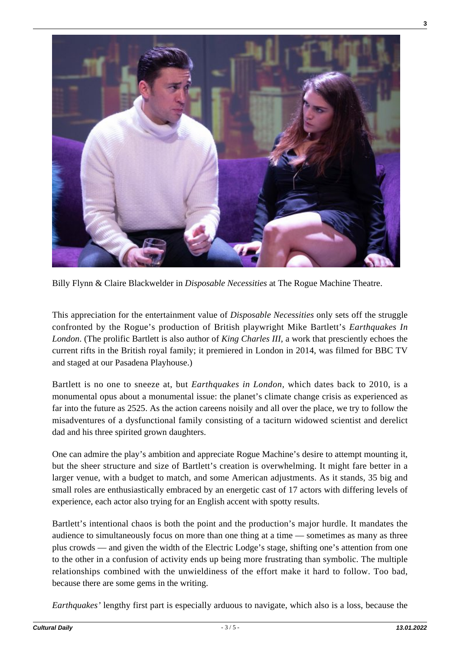

Billy Flynn & Claire Blackwelder in *Disposable Necessities* at The Rogue Machine Theatre.

This appreciation for the entertainment value of *Disposable Necessities* only sets off the struggle confronted by the Rogue's production of British playwright Mike Bartlett's *Earthquakes In London*. (The prolific Bartlett is also author of *King Charles III*, a work that presciently echoes the current rifts in the British royal family; it premiered in London in 2014, was filmed for BBC TV and staged at our Pasadena Playhouse.)

Bartlett is no one to sneeze at, but *Earthquakes in London,* which dates back to 2010, is a monumental opus about a monumental issue: the planet's climate change crisis as experienced as far into the future as 2525. As the action careens noisily and all over the place, we try to follow the misadventures of a dysfunctional family consisting of a taciturn widowed scientist and derelict dad and his three spirited grown daughters.

One can admire the play's ambition and appreciate Rogue Machine's desire to attempt mounting it, but the sheer structure and size of Bartlett's creation is overwhelming. It might fare better in a larger venue, with a budget to match, and some American adjustments. As it stands, 35 big and small roles are enthusiastically embraced by an energetic cast of 17 actors with differing levels of experience, each actor also trying for an English accent with spotty results.

Bartlett's intentional chaos is both the point and the production's major hurdle. It mandates the audience to simultaneously focus on more than one thing at a time — sometimes as many as three plus crowds — and given the width of the Electric Lodge's stage, shifting one's attention from one to the other in a confusion of activity ends up being more frustrating than symbolic. The multiple relationships combined with the unwieldiness of the effort make it hard to follow. Too bad, because there are some gems in the writing.

*Earthquakes'* lengthy first part is especially arduous to navigate, which also is a loss, because the

**3**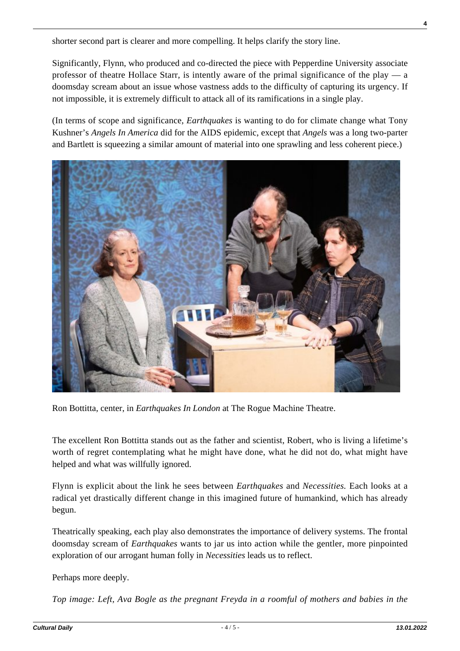shorter second part is clearer and more compelling. It helps clarify the story line.

Significantly, Flynn, who produced and co-directed the piece with Pepperdine University associate professor of theatre Hollace Starr, is intently aware of the primal significance of the play — a doomsday scream about an issue whose vastness adds to the difficulty of capturing its urgency. If not impossible, it is extremely difficult to attack all of its ramifications in a single play.

(In terms of scope and significance, *Earthquakes* is wanting to do for climate change what Tony Kushner's *Angels In America* did for the AIDS epidemic, except that *Angels* was a long two-parter and Bartlett is squeezing a similar amount of material into one sprawling and less coherent piece.)



Ron Bottitta, center, in *Earthquakes In London* at The Rogue Machine Theatre.

The excellent Ron Bottitta stands out as the father and scientist, Robert, who is living a lifetime's worth of regret contemplating what he might have done, what he did not do, what might have helped and what was willfully ignored.

Flynn is explicit about the link he sees between *Earthquakes* and *Necessities.* Each looks at a radical yet drastically different change in this imagined future of humankind, which has already begun.

Theatrically speaking, each play also demonstrates the importance of delivery systems. The frontal doomsday scream of *Earthquakes* wants to jar us into action while the gentler, more pinpointed exploration of our arrogant human folly in *Necessities* leads us to reflect.

Perhaps more deeply.

*Top image: Left, Ava Bogle as the pregnant Freyda in a roomful of mothers and babies in the*